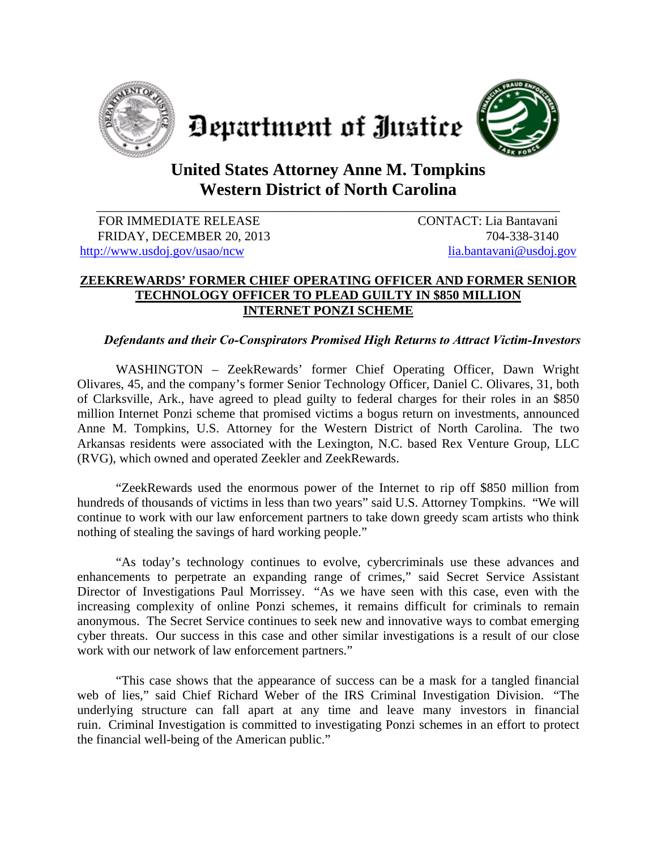





## **United States Attorney Anne M. Tompkins Western District of North Carolina**

\_\_\_\_\_\_\_\_\_\_\_\_\_\_\_\_\_\_\_\_\_\_\_\_\_\_\_\_\_\_\_\_\_\_\_\_\_\_\_\_\_\_\_\_\_\_\_\_\_\_\_\_\_\_\_\_\_\_\_\_\_\_\_\_\_\_\_\_\_\_\_\_

FOR IMMEDIATE RELEASE CONTACT: Lia Bantavani FRIDAY, DECEMBER 20, 2013 704-338-3140 http://www.usdoj.gov/usao/ncw lia.bantavani@usdoj.gov

## **ZEEKREWARDS' FORMER CHIEF OPERATING OFFICER AND FORMER SENIOR TECHNOLOGY OFFICER TO PLEAD GUILTY IN \$850 MILLION INTERNET PONZI SCHEME**

## *Defendants and their Co-Conspirators Promised High Returns to Attract Victim-Investors*

WASHINGTON – ZeekRewards' former Chief Operating Officer, Dawn Wright Olivares, 45, and the company's former Senior Technology Officer, Daniel C. Olivares, 31, both of Clarksville, Ark., have agreed to plead guilty to federal charges for their roles in an \$850 million Internet Ponzi scheme that promised victims a bogus return on investments, announced Anne M. Tompkins, U.S. Attorney for the Western District of North Carolina. The two Arkansas residents were associated with the Lexington, N.C. based Rex Venture Group, LLC (RVG), which owned and operated Zeekler and ZeekRewards.

"ZeekRewards used the enormous power of the Internet to rip off \$850 million from hundreds of thousands of victims in less than two years" said U.S. Attorney Tompkins. "We will continue to work with our law enforcement partners to take down greedy scam artists who think nothing of stealing the savings of hard working people."

"As today's technology continues to evolve, cybercriminals use these advances and enhancements to perpetrate an expanding range of crimes," said Secret Service Assistant Director of Investigations Paul Morrissey. "As we have seen with this case, even with the increasing complexity of online Ponzi schemes, it remains difficult for criminals to remain anonymous. The Secret Service continues to seek new and innovative ways to combat emerging cyber threats. Our success in this case and other similar investigations is a result of our close work with our network of law enforcement partners."

"This case shows that the appearance of success can be a mask for a tangled financial web of lies," said Chief Richard Weber of the IRS Criminal Investigation Division. "The underlying structure can fall apart at any time and leave many investors in financial ruin. Criminal Investigation is committed to investigating Ponzi schemes in an effort to protect the financial well-being of the American public."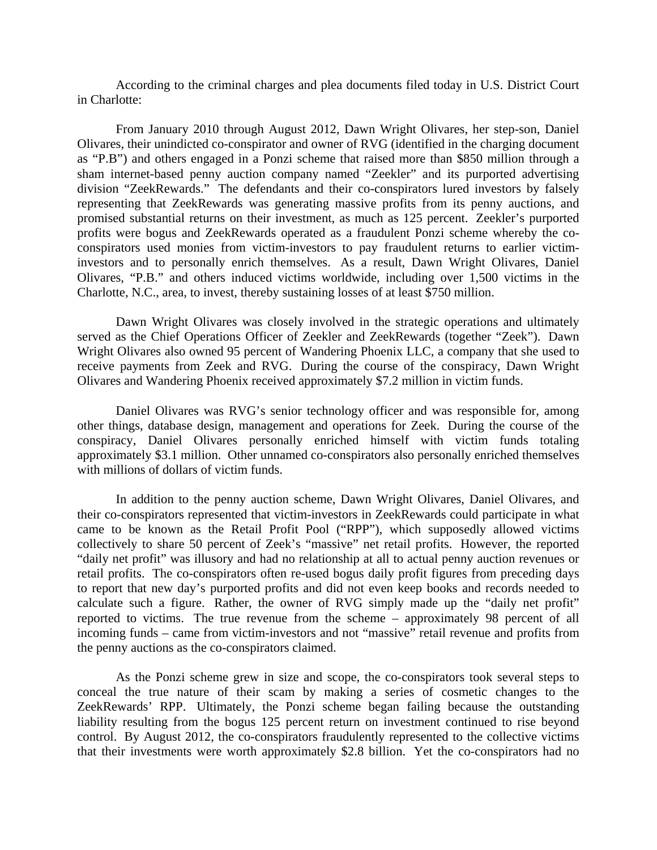According to the criminal charges and plea documents filed today in U.S. District Court in Charlotte:

From January 2010 through August 2012, Dawn Wright Olivares, her step-son, Daniel Olivares, their unindicted co-conspirator and owner of RVG (identified in the charging document as "P.B") and others engaged in a Ponzi scheme that raised more than \$850 million through a sham internet-based penny auction company named "Zeekler" and its purported advertising division "ZeekRewards." The defendants and their co-conspirators lured investors by falsely representing that ZeekRewards was generating massive profits from its penny auctions, and promised substantial returns on their investment, as much as 125 percent. Zeekler's purported profits were bogus and ZeekRewards operated as a fraudulent Ponzi scheme whereby the coconspirators used monies from victim-investors to pay fraudulent returns to earlier victiminvestors and to personally enrich themselves. As a result, Dawn Wright Olivares, Daniel Olivares, "P.B." and others induced victims worldwide, including over 1,500 victims in the Charlotte, N.C., area, to invest, thereby sustaining losses of at least \$750 million.

Dawn Wright Olivares was closely involved in the strategic operations and ultimately served as the Chief Operations Officer of Zeekler and ZeekRewards (together "Zeek"). Dawn Wright Olivares also owned 95 percent of Wandering Phoenix LLC, a company that she used to receive payments from Zeek and RVG. During the course of the conspiracy, Dawn Wright Olivares and Wandering Phoenix received approximately \$7.2 million in victim funds.

Daniel Olivares was RVG's senior technology officer and was responsible for, among other things, database design, management and operations for Zeek. During the course of the conspiracy, Daniel Olivares personally enriched himself with victim funds totaling approximately \$3.1 million. Other unnamed co-conspirators also personally enriched themselves with millions of dollars of victim funds.

In addition to the penny auction scheme, Dawn Wright Olivares, Daniel Olivares, and their co-conspirators represented that victim-investors in ZeekRewards could participate in what came to be known as the Retail Profit Pool ("RPP"), which supposedly allowed victims collectively to share 50 percent of Zeek's "massive" net retail profits. However, the reported "daily net profit" was illusory and had no relationship at all to actual penny auction revenues or retail profits. The co-conspirators often re-used bogus daily profit figures from preceding days to report that new day's purported profits and did not even keep books and records needed to calculate such a figure. Rather, the owner of RVG simply made up the "daily net profit" reported to victims. The true revenue from the scheme – approximately 98 percent of all incoming funds – came from victim-investors and not "massive" retail revenue and profits from the penny auctions as the co-conspirators claimed.

As the Ponzi scheme grew in size and scope, the co-conspirators took several steps to conceal the true nature of their scam by making a series of cosmetic changes to the ZeekRewards' RPP. Ultimately, the Ponzi scheme began failing because the outstanding liability resulting from the bogus 125 percent return on investment continued to rise beyond control. By August 2012, the co-conspirators fraudulently represented to the collective victims that their investments were worth approximately \$2.8 billion. Yet the co-conspirators had no